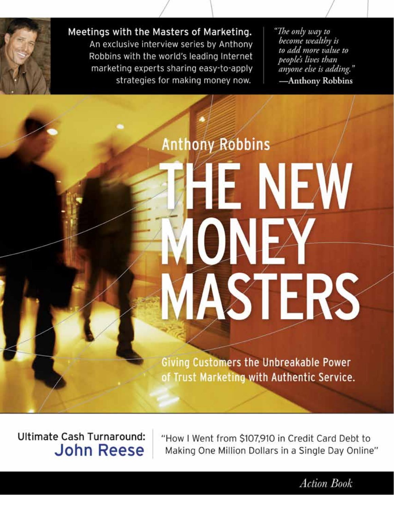

Meetings with the Masters of Marketing.

An exclusive interview series by Anthony Robbins with the world's leading Internet marketing experts sharing easy-to-apply strategies for making money now.

"The only way to become wealthy is to add more value to people's lives than anyone else is adding." -Anthony Robbins

**Anthony Robbins** E NEW ONE ASTERS

Giving Customers the Unbreakable Power of Trust Marketing with Authentic Service.

**Ultimate Cash Turnaround: John Reese** 

"How I Went from \$107,910 in Credit Card Debt to Making One Million Dollars in a Single Day Online"

**Action Book**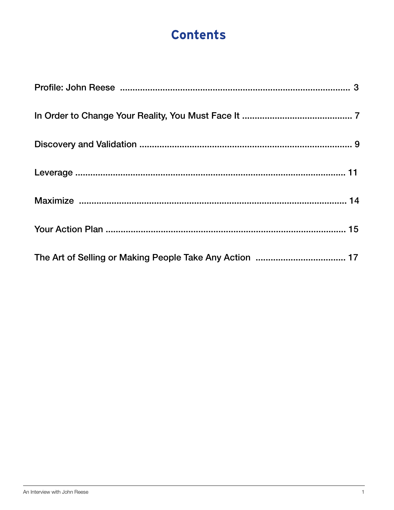## **Contents**

| The Art of Selling or Making People Take Any Action  17 |
|---------------------------------------------------------|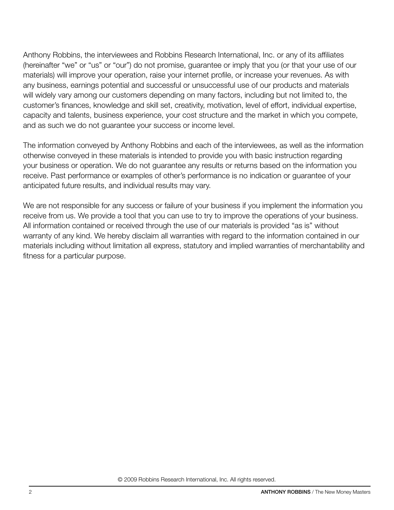Anthony Robbins, the interviewees and Robbins Research International, Inc. or any of its affiliates (hereinafter "we" or "us" or "our") do not promise, guarantee or imply that you (or that your use of our materials) will improve your operation, raise your internet profile, or increase your revenues. As with any business, earnings potential and successful or unsuccessful use of our products and materials will widely vary among our customers depending on many factors, including but not limited to, the customer's finances, knowledge and skill set, creativity, motivation, level of effort, individual expertise, capacity and talents, business experience, your cost structure and the market in which you compete, and as such we do not guarantee your success or income level.

The information conveyed by Anthony Robbins and each of the interviewees, as well as the information otherwise conveyed in these materials is intended to provide you with basic instruction regarding your business or operation. We do not guarantee any results or returns based on the information you receive. Past performance or examples of other's performance is no indication or guarantee of your anticipated future results, and individual results may vary.

We are not responsible for any success or failure of your business if you implement the information you receive from us. We provide a tool that you can use to try to improve the operations of your business. All information contained or received through the use of our materials is provided "as is" without warranty of any kind. We hereby disclaim all warranties with regard to the information contained in our materials including without limitation all express, statutory and implied warranties of merchantability and fitness for a particular purpose.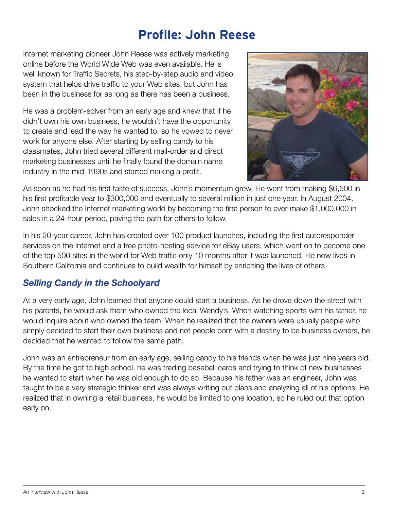## **Profile: John Reese**

Internet marketing pioneer John Reese was actively marketing online before the World Wide Web was even available. He is well known for Traffic Secrets, his step-by-step audio and video system that helps drive traffic to your Web sites, but John has been in the business for as long as there has been a business.

He was a problem-solver from an early age and knew that if he didn't own his own business, he wouldn't have the opportunity to create and lead the way he wanted to, so he vowed to never work for anyone else. After starting by selling candy to his classmates, John tried several different mail-order and direct marketing businesses until he finally found the domain name industry in the mid-1990s and started making a profit.



As soon as he had his first taste of success, John's momentum grew. He went from making \$6,500 in his first profitable year to \$300,000 and eventually to several million in just one year. In August 2004, John shocked the Internet marketing world by becoming the first person to ever make \$1,000,000 in sales in a 24-hour period, paving the path for others to follow.

In his 20-year career, John has created over 100 product launches, including the first autoresponder services on the Internet and a free photo-hosting service for eBay users, which went on to become one of the top 500 sites in the world for Web traffic only 10 months after it was launched. He now lives in Southern California and continues to build wealth for himself by enriching the lives of others.

#### *Selling Candy in the Schoolyard*

At a very early age, John learned that anyone could start a business. As he drove down the street with his parents, he would ask them who owned the local Wendy's. When watching sports with his father, he would inquire about who owned the team. When he realized that the owners were usually people who simply decided to start their own business and not people born with a destiny to be business owners, he decided that he wanted to follow the same path.

John was an entrepreneur from an early age, selling candy to his friends when he was just nine years old. By the time he got to high school, he was trading baseball cards and trying to think of new businesses he wanted to start when he was old enough to do so. Because his father was an engineer, John was taught to be a very strategic thinker and was always writing out plans and analyzing all of his options. He realized that in owning a retail business, he would be limited to one location, so he ruled out that option early on.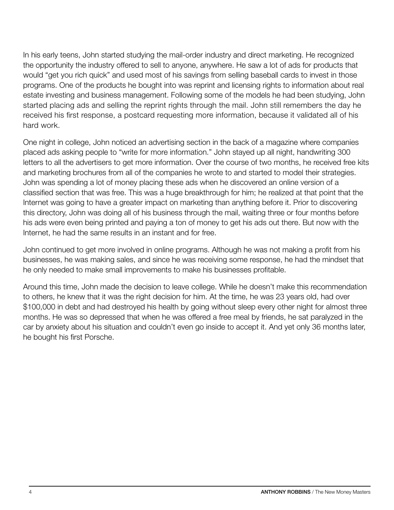In his early teens, John started studying the mail-order industry and direct marketing. He recognized the opportunity the industry offered to sell to anyone, anywhere. He saw a lot of ads for products that would "get you rich quick" and used most of his savings from selling baseball cards to invest in those programs. One of the products he bought into was reprint and licensing rights to information about real estate investing and business management. Following some of the models he had been studying, John started placing ads and selling the reprint rights through the mail. John still remembers the day he received his first response, a postcard requesting more information, because it validated all of his hard work.

One night in college, John noticed an advertising section in the back of a magazine where companies placed ads asking people to "write for more information." John stayed up all night, handwriting 300 letters to all the advertisers to get more information. Over the course of two months, he received free kits and marketing brochures from all of the companies he wrote to and started to model their strategies. John was spending a lot of money placing these ads when he discovered an online version of a classified section that was free. This was a huge breakthrough for him; he realized at that point that the Internet was going to have a greater impact on marketing than anything before it. Prior to discovering this directory, John was doing all of his business through the mail, waiting three or four months before his ads were even being printed and paying a ton of money to get his ads out there. But now with the Internet, he had the same results in an instant and for free.

John continued to get more involved in online programs. Although he was not making a profit from his businesses, he was making sales, and since he was receiving some response, he had the mindset that he only needed to make small improvements to make his businesses profitable.

Around this time, John made the decision to leave college. While he doesn't make this recommendation to others, he knew that it was the right decision for him. At the time, he was 23 years old, had over \$100,000 in debt and had destroyed his health by going without sleep every other night for almost three months. He was so depressed that when he was offered a free meal by friends, he sat paralyzed in the car by anxiety about his situation and couldn't even go inside to accept it. And yet only 36 months later, he bought his first Porsche.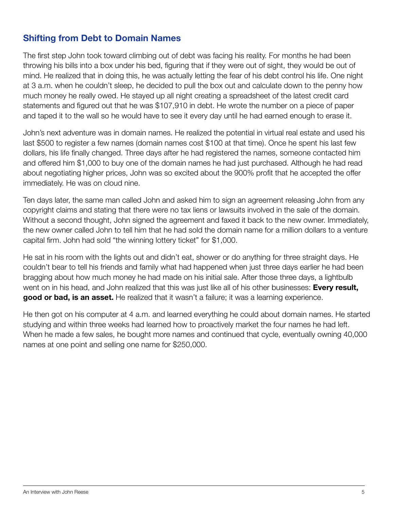#### Shifting from Debt to Domain Names

The first step John took toward climbing out of debt was facing his reality. For months he had been throwing his bills into a box under his bed, figuring that if they were out of sight, they would be out of mind. He realized that in doing this, he was actually letting the fear of his debt control his life. One night at 3 a.m. when he couldn't sleep, he decided to pull the box out and calculate down to the penny how much money he really owed. He stayed up all night creating a spreadsheet of the latest credit card statements and figured out that he was \$107,910 in debt. He wrote the number on a piece of paper and taped it to the wall so he would have to see it every day until he had earned enough to erase it.

John's next adventure was in domain names. He realized the potential in virtual real estate and used his last \$500 to register a few names (domain names cost \$100 at that time). Once he spent his last few dollars, his life finally changed. Three days after he had registered the names, someone contacted him and offered him \$1,000 to buy one of the domain names he had just purchased. Although he had read about negotiating higher prices, John was so excited about the 900% profit that he accepted the offer immediately. He was on cloud nine.

Ten days later, the same man called John and asked him to sign an agreement releasing John from any copyright claims and stating that there were no tax liens or lawsuits involved in the sale of the domain. Without a second thought, John signed the agreement and faxed it back to the new owner. Immediately, the new owner called John to tell him that he had sold the domain name for a million dollars to a venture capital firm. John had sold "the winning lottery ticket" for \$1,000.

He sat in his room with the lights out and didn't eat, shower or do anything for three straight days. He couldn't bear to tell his friends and family what had happened when just three days earlier he had been bragging about how much money he had made on his initial sale. After those three days, a lightbulb went on in his head, and John realized that this was just like all of his other businesses: Every result, good or bad, is an asset. He realized that it wasn't a failure; it was a learning experience.

He then got on his computer at 4 a.m. and learned everything he could about domain names. He started studying and within three weeks had learned how to proactively market the four names he had left. When he made a few sales, he bought more names and continued that cycle, eventually owning 40,000 names at one point and selling one name for \$250,000.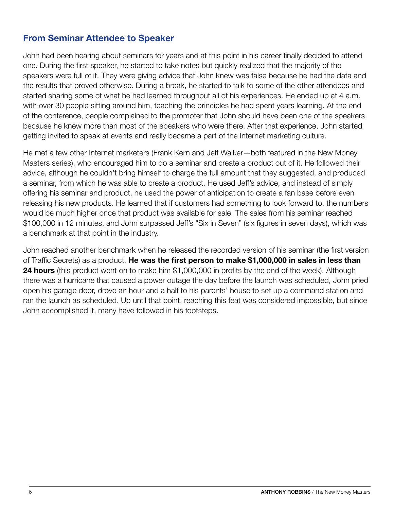#### From Seminar Attendee to Speaker

John had been hearing about seminars for years and at this point in his career finally decided to attend one. During the first speaker, he started to take notes but quickly realized that the majority of the speakers were full of it. They were giving advice that John knew was false because he had the data and the results that proved otherwise. During a break, he started to talk to some of the other attendees and started sharing some of what he had learned throughout all of his experiences. He ended up at 4 a.m. with over 30 people sitting around him, teaching the principles he had spent years learning. At the end of the conference, people complained to the promoter that John should have been one of the speakers because he knew more than most of the speakers who were there. After that experience, John started getting invited to speak at events and really became a part of the Internet marketing culture.

He met a few other Internet marketers (Frank Kern and Jeff Walker—both featured in the New Money Masters series), who encouraged him to do a seminar and create a product out of it. He followed their advice, although he couldn't bring himself to charge the full amount that they suggested, and produced a seminar, from which he was able to create a product. He used Jeff's advice, and instead of simply offering his seminar and product, he used the power of anticipation to create a fan base before even releasing his new products. He learned that if customers had something to look forward to, the numbers would be much higher once that product was available for sale. The sales from his seminar reached \$100,000 in 12 minutes, and John surpassed Jeff's "Six in Seven" (six figures in seven days), which was a benchmark at that point in the industry.

John reached another benchmark when he released the recorded version of his seminar (the first version of Traffic Secrets) as a product. He was the first person to make \$1,000,000 in sales in less than **24 hours** (this product went on to make him \$1,000,000 in profits by the end of the week). Although there was a hurricane that caused a power outage the day before the launch was scheduled, John pried open his garage door, drove an hour and a half to his parents' house to set up a command station and ran the launch as scheduled. Up until that point, reaching this feat was considered impossible, but since John accomplished it, many have followed in his footsteps.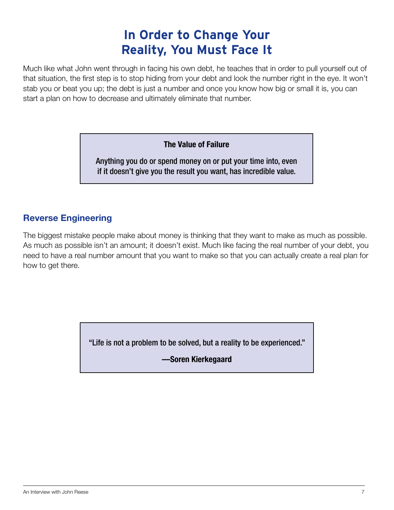## **In Order to Change Your Reality, You Must Face It**

Much like what John went through in facing his own debt, he teaches that in order to pull yourself out of that situation, the first step is to stop hiding from your debt and look the number right in the eye. It won't stab you or beat you up; the debt is just a number and once you know how big or small it is, you can start a plan on how to decrease and ultimately eliminate that number.

The Value of Failure

Anything you do or spend money on or put your time into, even if it doesn't give you the result you want, has incredible value.

#### Reverse Engineering

The biggest mistake people make about money is thinking that they want to make as much as possible. As much as possible isn't an amount; it doesn't exist. Much like facing the real number of your debt, you need to have a real number amount that you want to make so that you can actually create a real plan for how to get there.

"Life is not a problem to be solved, but a reality to be experienced."

**—Soren Kierkegaard**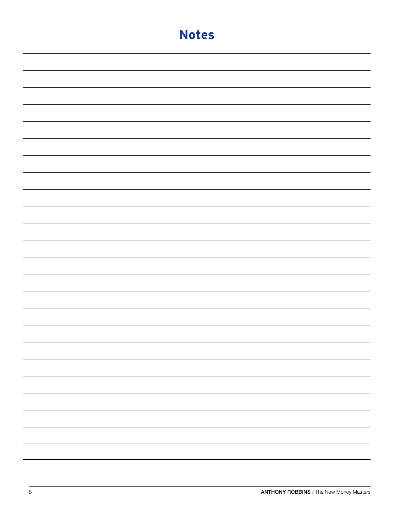| <b>Notes</b> |
|--------------|
|              |
|              |
|              |
|              |
|              |
|              |
|              |
|              |
|              |
|              |
|              |
|              |
|              |
|              |
|              |
|              |
|              |
|              |
|              |
|              |
|              |
|              |
|              |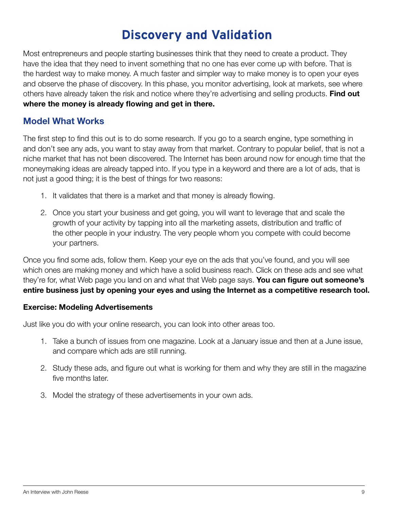## **Discovery and Validation**

Most entrepreneurs and people starting businesses think that they need to create a product. They have the idea that they need to invent something that no one has ever come up with before. That is the hardest way to make money. A much faster and simpler way to make money is to open your eyes and observe the phase of discovery. In this phase, you monitor advertising, look at markets, see where others have already taken the risk and notice where they're advertising and selling products. Find out where the money is already flowing and get in there.

#### Model What Works

The first step to find this out is to do some research. If you go to a search engine, type something in and don't see any ads, you want to stay away from that market. Contrary to popular belief, that is not a niche market that has not been discovered. The Internet has been around now for enough time that the moneymaking ideas are already tapped into. If you type in a keyword and there are a lot of ads, that is not just a good thing; it is the best of things for two reasons:

- 1. It validates that there is a market and that money is already flowing.
- 2. Once you start your business and get going, you will want to leverage that and scale the growth of your activity by tapping into all the marketing assets, distribution and traffic of the other people in your industry. The very people whom you compete with could become your partners.

Once you find some ads, follow them. Keep your eye on the ads that you've found, and you will see which ones are making money and which have a solid business reach. Click on these ads and see what they're for, what Web page you land on and what that Web page says. You can figure out someone's entire business just by opening your eyes and using the Internet as a competitive research tool.

#### Exercise: Modeling Advertisements

Just like you do with your online research, you can look into other areas too.

- 1. Take a bunch of issues from one magazine. Look at a January issue and then at a June issue, and compare which ads are still running.
- 2. Study these ads, and figure out what is working for them and why they are still in the magazine five months later.
- 3. Model the strategy of these advertisements in your own ads.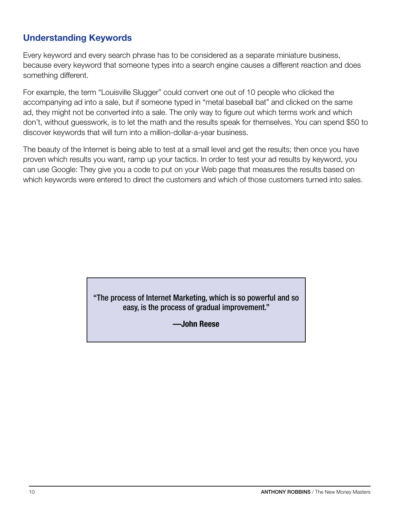#### Understanding Keywords

Every keyword and every search phrase has to be considered as a separate miniature business, because every keyword that someone types into a search engine causes a different reaction and does something different.

For example, the term "Louisville Slugger" could convert one out of 10 people who clicked the accompanying ad into a sale, but if someone typed in "metal baseball bat" and clicked on the same ad, they might not be converted into a sale. The only way to figure out which terms work and which don't, without guesswork, is to let the math and the results speak for themselves. You can spend \$50 to discover keywords that will turn into a million-dollar-a-year business.

The beauty of the Internet is being able to test at a small level and get the results; then once you have proven which results you want, ramp up your tactics. In order to test your ad results by keyword, you can use Google: They give you a code to put on your Web page that measures the results based on which keywords were entered to direct the customers and which of those customers turned into sales.

#### "The process of Internet Marketing, which is so powerful and so easy, is the process of gradual improvement."

**—John Reese**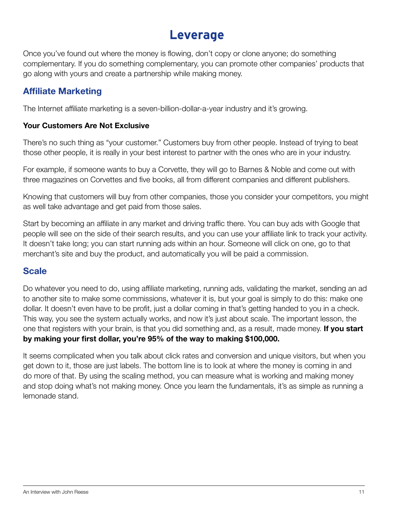### **Leverage**

Once you've found out where the money is flowing, don't copy or clone anyone; do something complementary. If you do something complementary, you can promote other companies' products that go along with yours and create a partnership while making money.

#### Affiliate Marketing

The Internet affiliate marketing is a seven-billion-dollar-a-year industry and it's growing.

#### Your Customers Are Not Exclusive

There's no such thing as "your customer." Customers buy from other people. Instead of trying to beat those other people, it is really in your best interest to partner with the ones who are in your industry.

For example, if someone wants to buy a Corvette, they will go to Barnes & Noble and come out with three magazines on Corvettes and five books, all from different companies and different publishers.

Knowing that customers will buy from other companies, those you consider your competitors, you might as well take advantage and get paid from those sales.

Start by becoming an affiliate in any market and driving traffic there. You can buy ads with Google that people will see on the side of their search results, and you can use your affiliate link to track your activity. It doesn't take long; you can start running ads within an hour. Someone will click on one, go to that merchant's site and buy the product, and automatically you will be paid a commission.

#### **Scale**

Do whatever you need to do, using affiliate marketing, running ads, validating the market, sending an ad to another site to make some commissions, whatever it is, but your goal is simply to do this: make one dollar. It doesn't even have to be profit, just a dollar coming in that's getting handed to you in a check. This way, you see the system actually works, and now it's just about scale. The important lesson, the one that registers with your brain, is that you did something and, as a result, made money. If you start by making your first dollar, you're 95% of the way to making \$100,000.

It seems complicated when you talk about click rates and conversion and unique visitors, but when you get down to it, those are just labels. The bottom line is to look at where the money is coming in and do more of that. By using the scaling method, you can measure what is working and making money and stop doing what's not making money. Once you learn the fundamentals, it's as simple as running a lemonade stand.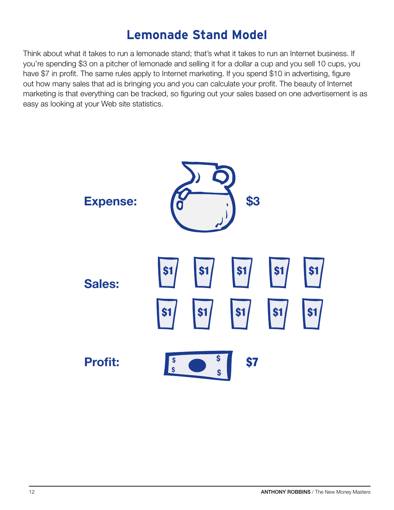## **Lemonade Stand Model**

Think about what it takes to run a lemonade stand; that's what it takes to run an Internet business. If you're spending \$3 on a pitcher of lemonade and selling it for a dollar a cup and you sell 10 cups, you have \$7 in profit. The same rules apply to Internet marketing. If you spend \$10 in advertising, figure out how many sales that ad is bringing you and you can calculate your profit. The beauty of Internet marketing is that everything can be tracked, so figuring out your sales based on one advertisement is as easy as looking at your Web site statistics.

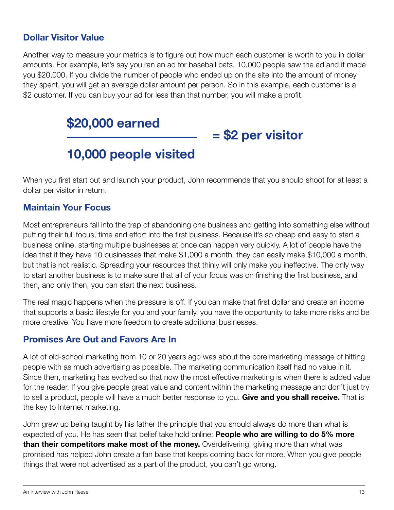#### Dollar Visitor Value

Another way to measure your metrics is to figure out how much each customer is worth to you in dollar amounts. For example, let's say you ran an ad for baseball bats, 10,000 people saw the ad and it made you \$20,000. If you divide the number of people who ended up on the site into the amount of money they spent, you will get an average dollar amount per person. So in this example, each customer is a \$2 customer. If you can buy your ad for less than that number, you will make a profit.

\$20,000 earned

## 10,000 people visited

When you first start out and launch your product, John recommends that you should shoot for at least a dollar per visitor in return.

= \$2 per visitor

#### Maintain Your Focus

Most entrepreneurs fall into the trap of abandoning one business and getting into something else without putting their full focus, time and effort into the first business. Because it's so cheap and easy to start a business online, starting multiple businesses at once can happen very quickly. A lot of people have the idea that if they have 10 businesses that make \$1,000 a month, they can easily make \$10,000 a month, but that is not realistic. Spreading your resources that thinly will only make you ineffective. The only way to start another business is to make sure that all of your focus was on finishing the first business, and then, and only then, you can start the next business.

The real magic happens when the pressure is off. If you can make that first dollar and create an income that supports a basic lifestyle for you and your family, you have the opportunity to take more risks and be more creative. You have more freedom to create additional businesses.

#### Promises Are Out and Favors Are In

A lot of old-school marketing from 10 or 20 years ago was about the core marketing message of hitting people with as much advertising as possible. The marketing communication itself had no value in it. Since then, marketing has evolved so that now the most effective marketing is when there is added value for the reader. If you give people great value and content within the marketing message and don't just try to sell a product, people will have a much better response to you. Give and you shall receive. That is the key to Internet marketing.

John grew up being taught by his father the principle that you should always do more than what is expected of you. He has seen that belief take hold online: **People who are willing to do 5% more than their competitors make most of the money.** Overdelivering, giving more than what was promised has helped John create a fan base that keeps coming back for more. When you give people things that were not advertised as a part of the product, you can't go wrong.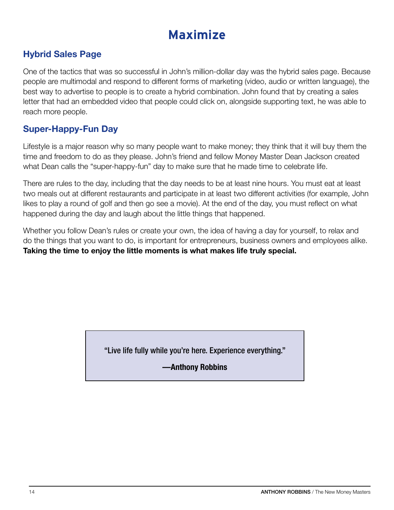## **Maximize**

#### Hybrid Sales Page

One of the tactics that was so successful in John's million-dollar day was the hybrid sales page. Because people are multimodal and respond to different forms of marketing (video, audio or written language), the best way to advertise to people is to create a hybrid combination. John found that by creating a sales letter that had an embedded video that people could click on, alongside supporting text, he was able to reach more people.

#### Super-Happy-Fun Day

Lifestyle is a major reason why so many people want to make money; they think that it will buy them the time and freedom to do as they please. John's friend and fellow Money Master Dean Jackson created what Dean calls the "super-happy-fun" day to make sure that he made time to celebrate life.

There are rules to the day, including that the day needs to be at least nine hours. You must eat at least two meals out at different restaurants and participate in at least two different activities (for example, John likes to play a round of golf and then go see a movie). At the end of the day, you must reflect on what happened during the day and laugh about the little things that happened.

Whether you follow Dean's rules or create your own, the idea of having a day for yourself, to relax and do the things that you want to do, is important for entrepreneurs, business owners and employees alike. Taking the time to enjoy the little moments is what makes life truly special.

"Live life fully while you're here. Experience everything."

**—Anthony Robbins**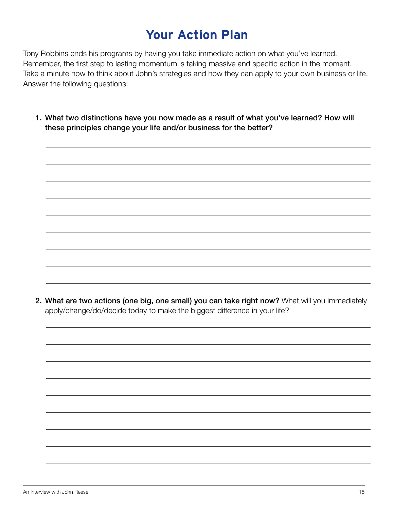## **Your Action Plan**

Tony Robbins ends his programs by having you take immediate action on what you've learned. Remember, the first step to lasting momentum is taking massive and specific action in the moment. Take a minute now to think about John's strategies and how they can apply to your own business or life. Answer the following questions:

1. What two distinctions have you now made as a result of what you've learned? How will these principles change your life and/or business for the better?

2. What are two actions (one big, one small) you can take right now? What will you immediately apply/change/do/decide today to make the biggest difference in your life?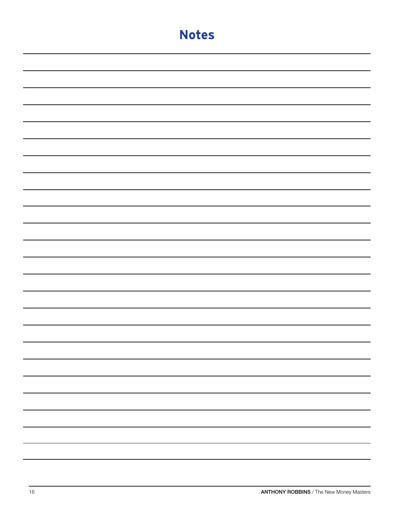| <b>Notes</b> |
|--------------|
|              |
|              |
|              |
|              |
|              |
|              |
|              |
|              |
|              |
|              |
|              |
|              |
|              |
|              |
|              |
|              |
|              |
|              |
|              |
|              |
|              |
|              |
|              |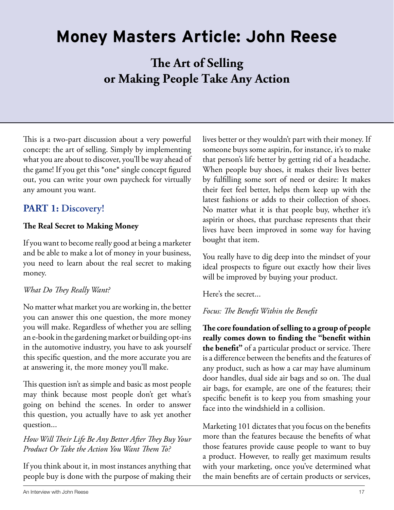## **Money Masters Article: John Reese**

**The Art of Selling or Making People Take Any Action**

This is a two-part discussion about a very powerful concept: the art of selling. Simply by implementing what you are about to discover, you'll be way ahead of the game! If you get this \*one\* single concept figured out, you can write your own paycheck for virtually any amount you want.

#### **PART 1: Discovery!**

#### **The Real Secret to Making Money**

If you want to become really good at being a marketer and be able to make a lot of money in your business, you need to learn about the real secret to making money.

#### *What Do They Really Want?*

No matter what market you are working in, the better you can answer this one question, the more money you will make. Regardless of whether you are selling an e-book in the gardening market or building opt-ins in the automotive industry, you have to ask yourself this specific question, and the more accurate you are at answering it, the more money you'll make.

This question isn't as simple and basic as most people may think because most people don't get what's going on behind the scenes. In order to answer this question, you actually have to ask yet another question...

#### *How Will Their Life Be Any Better After They Buy Your Product Or Take the Action You Want Them To?*

If you think about it, in most instances anything that people buy is done with the purpose of making their

lives better or they wouldn't part with their money. If someone buys some aspirin, for instance, it's to make that person's life better by getting rid of a headache. When people buy shoes, it makes their lives better by fulfilling some sort of need or desire: It makes their feet feel better, helps them keep up with the latest fashions or adds to their collection of shoes. No matter what it is that people buy, whether it's aspirin or shoes, that purchase represents that their lives have been improved in some way for having bought that item.

You really have to dig deep into the mindset of your ideal prospects to figure out exactly how their lives will be improved by buying your product.

Here's the secret...

#### *Focus: The Benefit Within the Benefit*

**The core foundation of selling to a group of people really comes down to finding the "benefit within the benefit"** of a particular product or service. There is a difference between the benefits and the features of any product, such as how a car may have aluminum door handles, dual side air bags and so on. The dual air bags, for example, are one of the features; their specific benefit is to keep you from smashing your face into the windshield in a collision.

Marketing 101 dictates that you focus on the benefits more than the features because the benefits of what those features provide cause people to want to buy a product. However, to really get maximum results with your marketing, once you've determined what the main benefits are of certain products or services,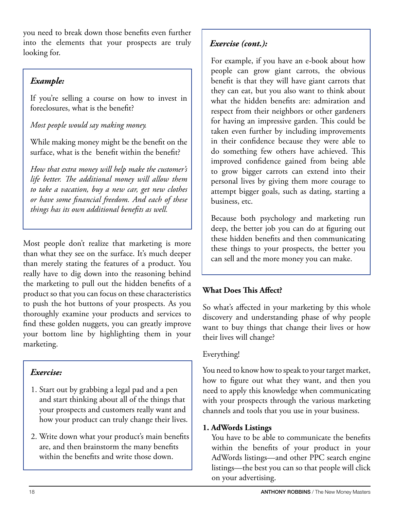you need to break down those benefits even further into the elements that your prospects are truly looking for.

#### *Example:*

If you're selling a course on how to invest in foreclosures, what is the benefit?

#### *Most people would say making money.*

While making money might be the benefit on the surface, what is the benefit within the benefit?

*How that extra money will help make the customer's life better. The additional money will allow them to take a vacation, buy a new car, get new clothes or have some financial freedom. And each of these things has its own additional benefits as well.* 

Most people don't realize that marketing is more than what they see on the surface. It's much deeper than merely stating the features of a product. You really have to dig down into the reasoning behind the marketing to pull out the hidden benefits of a product so that you can focus on these characteristics to push the hot buttons of your prospects. As you thoroughly examine your products and services to find these golden nuggets, you can greatly improve your bottom line by highlighting them in your marketing.

#### *Exercise:*

- 1. Start out by grabbing a legal pad and a pen and start thinking about all of the things that your prospects and customers really want and how your product can truly change their lives.
- 2. Write down what your product's main benefits are, and then brainstorm the many benefits within the benefits and write those down.

#### *Exercise (cont.):*

For example, if you have an e-book about how people can grow giant carrots, the obvious benefit is that they will have giant carrots that they can eat, but you also want to think about what the hidden benefits are: admiration and respect from their neighbors or other gardeners for having an impressive garden. This could be taken even further by including improvements in their confidence because they were able to do something few others have achieved. This improved confidence gained from being able to grow bigger carrots can extend into their personal lives by giving them more courage to attempt bigger goals, such as dating, starting a business, etc.

Because both psychology and marketing run deep, the better job you can do at figuring out these hidden benefits and then communicating these things to your prospects, the better you can sell and the more money you can make.

#### **What Does This Affect?**

So what's affected in your marketing by this whole discovery and understanding phase of why people want to buy things that change their lives or how their lives will change?

#### Everything!

You need to know how to speak to your target market, how to figure out what they want, and then you need to apply this knowledge when communicating with your prospects through the various marketing channels and tools that you use in your business.

#### **1. AdWords Listings**

You have to be able to communicate the benefits within the benefits of your product in your AdWords listings—and other PPC search engine listings—the best you can so that people will click on your advertising.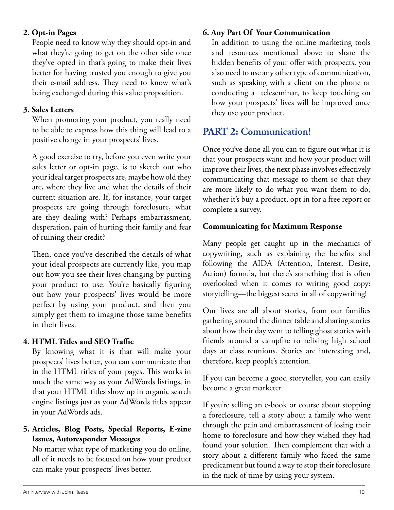#### **2. Opt-in Pages**

People need to know why they should opt-in and what they're going to get on the other side once they've opted in that's going to make their lives better for having trusted you enough to give you their e-mail address. They need to know what's being exchanged during this value proposition.

#### **3. Sales Letters**

When promoting your product, you really need to be able to express how this thing will lead to a positive change in your prospects' lives.

A good exercise to try, before you even write your sales letter or opt-in page, is to sketch out who your ideal target prospects are, maybe how old they are, where they live and what the details of their current situation are. If, for instance, your target prospects are going through foreclosure, what are they dealing with? Perhaps embarrassment, desperation, pain of hurting their family and fear of ruining their credit?

Then, once you've described the details of what your ideal prospects are currently like, you map out how you see their lives changing by putting your product to use. You're basically figuring out how your prospects' lives would be more perfect by using your product, and then you simply get them to imagine those same benefits in their lives.

#### **4. HtML Titles and SEO Traffic**

By knowing what it is that will make your prospects' lives better, you can communicate that in the HTML titles of your pages. This works in much the same way as your AdWords listings, in that your HTML titles show up in organic search engine listings just as your AdWords titles appear in your AdWords ads.

#### **5. Articles, Blog Posts, Special Reports, E-zine Issues, Autoresponder Messages**

No matter what type of marketing you do online, all of it needs to be focused on how your product can make your prospects' lives better.

#### **6. Any Part Of Your Communication**

In addition to using the online marketing tools and resources mentioned above to share the hidden benefits of your offer with prospects, you also need to use any other type of communication, such as speaking with a client on the phone or conducting a teleseminar, to keep touching on how your prospects' lives will be improved once they use your product.

#### **PART 2: Communication!**

Once you've done all you can to figure out what it is that your prospects want and how your product will improve their lives, the next phase involves effectively communicating that message to them so that they are more likely to do what you want them to do, whether it's buy a product, opt in for a free report or complete a survey.

#### **Communicating for Maximum Response**

Many people get caught up in the mechanics of copywriting, such as explaining the benefits and following the AIDA (Attention, Interest, Desire, Action) formula, but there's something that is often overlooked when it comes to writing good copy: storytelling—the biggest secret in all of copywriting!

Our lives are all about stories, from our families gathering around the dinner table and sharing stories about how their day went to telling ghost stories with friends around a campfire to reliving high school days at class reunions. Stories are interesting and, therefore, keep people's attention.

If you can become a good storyteller, you can easily become a great marketer.

If you're selling an e-book or course about stopping a foreclosure, tell a story about a family who went through the pain and embarrassment of losing their home to foreclosure and how they wished they had found your solution. Then complement that with a story about a different family who faced the same predicament but found a way to stop their foreclosure in the nick of time by using your system.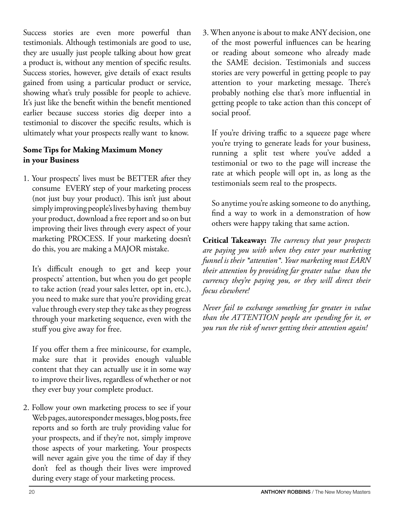Success stories are even more powerful than testimonials. Although testimonials are good to use, they are usually just people talking about how great a product is, without any mention of specific results. Success stories, however, give details of exact results gained from using a particular product or service, showing what's truly possible for people to achieve. It's just like the benefit within the benefit mentioned earlier because success stories dig deeper into a testimonial to discover the specific results, which is ultimately what your prospects really want to know.

#### **Some Tips for Making Maximum Money in your Business**

1. Your prospects' lives must be BETTER after they consume EVERY step of your marketing process (not just buy your product). This isn't just about simply improving people's lives by having them buy your product, download a free report and so on but improving their lives through every aspect of your marketing PROCESS. If your marketing doesn't do this, you are making a MAJOR mistake.

It's difficult enough to get and keep your prospects' attention, but when you do get people to take action (read your sales letter, opt in, etc.), you need to make sure that you're providing great value through every step they take as they progress through your marketing sequence, even with the stuff you give away for free.

If you offer them a free minicourse, for example, make sure that it provides enough valuable content that they can actually use it in some way to improve their lives, regardless of whether or not they ever buy your complete product.

2. Follow your own marketing process to see if your Web pages, autoresponder messages, blog posts, free reports and so forth are truly providing value for your prospects, and if they're not, simply improve those aspects of your marketing. Your prospects will never again give you the time of day if they don't feel as though their lives were improved during every stage of your marketing process.

3. When anyone is about to make ANY decision, one of the most powerful influences can be hearing or reading about someone who already made the SAME decision. Testimonials and success stories are very powerful in getting people to pay attention to your marketing message. There's probably nothing else that's more influential in getting people to take action than this concept of social proof.

If you're driving traffic to a squeeze page where you're trying to generate leads for your business, running a split test where you've added a testimonial or two to the page will increase the rate at which people will opt in, as long as the testimonials seem real to the prospects.

So anytime you're asking someone to do anything, find a way to work in a demonstration of how others were happy taking that same action.

**Critical Takeaway:** *The currency that your prospects are paying you with when they enter your marketing funnel is their \*attention\*. Your marketing must EARN their attention by providing far greater value than the currency they're paying you, or they will direct their focus elsewhere!* 

*Never fail to exchange something far greater in value than the ATTENTION people are spending for it, or you run the risk of never getting their attention again!*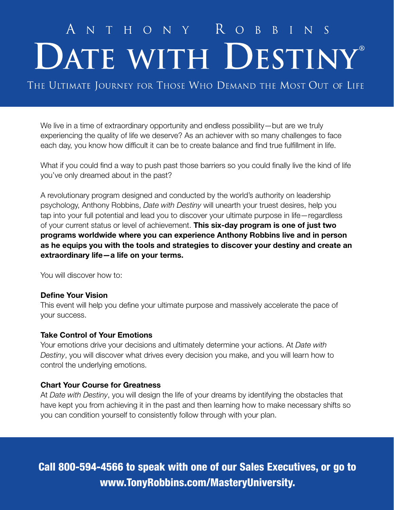# ANTHONY ROBBINS<br>DATE WITH DESTINY®

THE ULTIMATE JOURNEY FOR THOSE WHO DEMAND THE MOST OUT OF LIFE

We live in a time of extraordinary opportunity and endless possibility—but are we truly experiencing the quality of life we deserve? As an achiever with so many challenges to face each day, you know how difficult it can be to create balance and find true fulfillment in life.

What if you could find a way to push past those barriers so you could finally live the kind of life you've only dreamed about in the past?

A revolutionary program designed and conducted by the world's authority on leadership psychology, Anthony Robbins, *Date with Destiny* will unearth your truest desires, help you tap into your full potential and lead you to discover your ultimate purpose in life—regardless of your current status or level of achievement. This six-day program is one of just two programs worldwide where you can experience Anthony Robbins live and in person as he equips you with the tools and strategies to discover your destiny and create an extraordinary life—a life on your terms.

You will discover how to:

#### Define Your Vision

This event will help you define your ultimate purpose and massively accelerate the pace of your success.

#### Take Control of Your Emotions

Your emotions drive your decisions and ultimately determine your actions. At *Date with Destiny*, you will discover what drives every decision you make, and you will learn how to control the underlying emotions.

#### Chart Your Course for Greatness

At *Date with Destiny*, you will design the life of your dreams by identifying the obstacles that have kept you from achieving it in the past and then learning how to make necessary shifts so you can condition yourself to consistently follow through with your plan.

Call 800-594-4566 to speak with one of our Sales Executives, or go to www.TonyRobbins.com/MasteryUniversity.